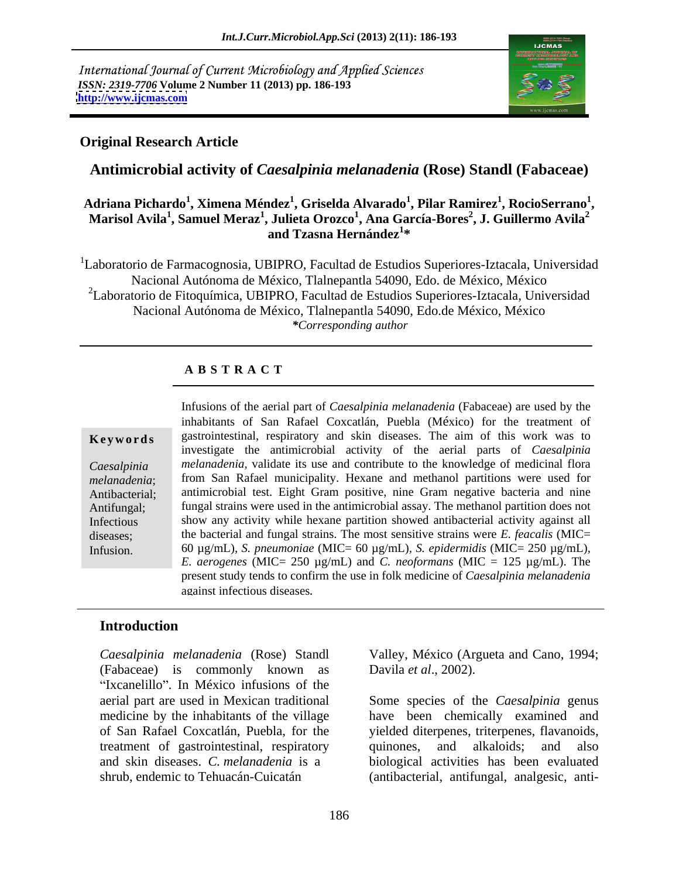International Journal of Current Microbiology and Applied Sciences *ISSN: 2319-7706* **Volume 2 Number 11 (2013) pp. 186-193 <http://www.ijcmas.com>**



### **Original Research Article**

**Antimicrobial activity of** *Caesalpinia melanadenia* **(Rose) Standl (Fabaceae)**

### **Adriana Pichardo<sup>1</sup> , Ximena Méndez<sup>1</sup> , Griselda Alvarado<sup>1</sup> , Pilar Ramirez<sup>1</sup> , RocioSerrano<sup>1</sup> \driana Pichardo<sup>1</sup>, Ximena Méndez<sup>1</sup>, Griselda Alvarado<sup>1</sup>, Pilar Ramirez<sup>1</sup>, RocioSerrano<sup>1</sup>,<br>Marisol Avila<sup>1</sup>, Samuel Meraz<sup>1</sup>, Julieta Orozco<sup>1</sup>, Ana García-Bores<sup>2</sup>, J. Guillermo Avila<sup>2</sup> , J. Guillermo Avila<sup>2</sup> and Tzasna Hernández<sup>1</sup> \***

<sup>1</sup>Laboratorio de Farmacognosia, UBIPRO, Facultad de Estudios Superiores-Iztacala, Universidad Nacional Autónoma de México, Tlalnepantla 54090, Edo. de México, México <sup>2</sup>Laboratorio de Fitoquímica, UBIPRO, Facultad de Estudios Superiores-Iztacala, Universidad Nacional Autónoma de México, Tlalnepantla 54090, Edo.de México, México *\*Corresponding author* 

### **A B S T R A C T**

**Keywords** gastrointestinal, respiratory and skin diseases. The aim of this work was to *Caesalpinia melanadenia*, validate its use and contribute to the knowledge of medicinal flora *melanadenia*; from San Rafael municipality. Hexane and methanol partitions were used for Antibacterial; antimicrobial test. Eight Gram positive, nine Gram negative bacteria and nine Antifungal; fungal strains were used in the antimicrobial assay. The methanol partition does not Infectious show any activity while hexane partition showed antibacterial activity against all diseases; the bacterial and fungal strains. The most sensitive strains were *E. feacalis* (MIC= Infusion. 60 µg/mL), *S. pneumoniae* (MIC= 60 µg/mL)*, S. epidermidis* (MIC= 250 µg/mL), Infusions of the aerial part of *Caesalpinia melanadenia* (Fabaceae) are used by the inhabitants of San Rafael Coxcatlán, Puebla (México) for the treatment of investigate the antimicrobial activity of the aerial parts of *Caesalpinia E. aerogenes* (MIC= 250  $\mu$ g/mL) and *C. neoformans* (MIC = 125  $\mu$ g/mL). The present study tends to confirm the use in folk medicine of *Caesalpinia melanadenia* against infectious diseases*.*

### **Introduction**

*Caesalpinia melanadenia* (Rose) Standl (Fabaceae) is commonly known as "Ixcanelillo". In México infusions of the aerial part are used in Mexican traditional Some species of the *Caesalpinia* genus treatment of gastrointestinal, respiratory and skin diseases. *C. melanadenia* is a

Valley, México (Argueta and Cano, 1994; Davila *et al*., 2002).

medicine by the inhabitants of the village have been chemically examined and of San Rafael Coxcatlán, Puebla, for the yielded diterpenes, triterpenes, flavanoids, shrub, endemic to Tehuacán-Cuicatán (antibacterial, antifungal, analgesic, antiquinones, and alkaloids; biological activities has been evaluated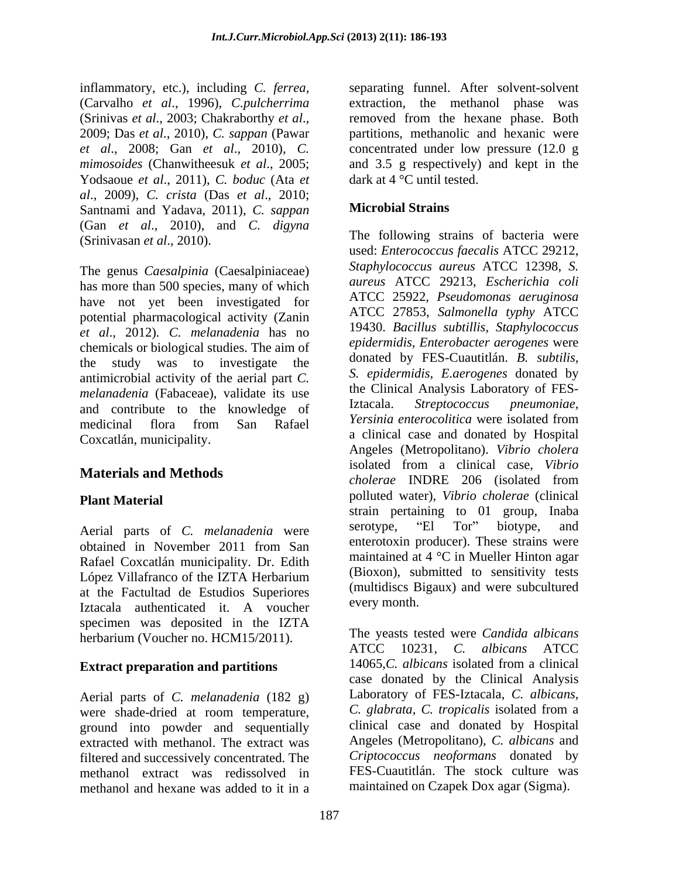inflammatory, etc.), including *C. ferrea,* (Carvalho *et al*., 1996), *C.pulcherrima* Yodsaoue *et al*., 2011), *C. boduc* (Ata *et al*., 2009), *C. crista* (Das *et al*., 2010; Santnami and Yadava, 2011), *C. sappan* (Gan *et al*., 2010), and *C. digyna*

The genus *Caesalpinia* (Caesalpiniaceae) has more than 500 species, many of which have not yet been investigated for potential pharmacological activity (Zanin *et al*., 2012)*. C. melanadenia* has no chemicals or biological studies. The aim of *epidermidis, Enterobacter aerogenes* were<br>the study wes to investigate the donated by FES-Cuautitlán. *B. subtilis,* the study was to investigate the donated by FES-Cuautitian. *B. subtilis,* entimicrobial activity of the agrial part  $C$  S. epidermidis, *E. aerogenes* donated by antimicrobial activity of the aerial part *C. melanadenia* (Fabaceae), validate its use the Clinical Analysis Laboratory of FES-<br>and contribute to the Inequisities of Iztacala. Streptococcus pneumoniae. and contribute to the knowledge of Iztacala. Streptococcus pneumoniae,<br>
The contribute of the contribute of the Reference Pressing enterocolitica were isolated from Coxcatlán, municipality.

Rafael Coxcatlán municipality. Dr. Edith at the Factultad de Estudios Superiores Iztacala authenticated it. A voucher every monument of the state of the state of the state of the state of the state of the state of the state of the state of the state of the state of the state of the state of the state o specimen was deposited in the IZTA

Aerial parts of *C. melanadenia* (182 g) were shade-dried at room temperature, ground into powder and sequentially extracted with methanol. The extract was filtered and successively concentrated. The methanol extract was redissolved in methanol and hexane was added to it in a

(Srinivas *et al*., 2003; Chakraborthy *et al*., 2009; Das *et al*., 2010), *C. sappan* (Pawar *et al*., 2008; Gan *et al*., 2010)*, C.* concentrated under low pressure (12.0 g *mimosoides* (Chanwitheesuk *et al*., 2005; and 3.5 g respectively) and kept in the separating funnel. After solvent-solvent extraction, the methanol phase was removed from the hexane phase. Both partitions, methanolic and hexanic were dark at 4 °C until tested.

# **Microbial Strains**

(Srinivasan *et al.*, 2010). The following strains of bacteria were medicinal flora from San Rafael *refusional* enterocountied were isolated from **Materials and Methods** isolated from a clinical case, *Vibrio*<br> *cholerae* INDRE 206 (isolated from **Plant Material** polluted water), *Vibrio cholerae* (clinical Aerial parts of *C. melanadenia* were obtained in November 2011 from San enterorgy enteries the strains were López Villafranco of the IZTA Herbarium (BIOXON), submitted to sensitivity tests used: *Enterococcus faecalis* ATCC 29212, *Staphylococcus aureus* ATCC 12398, *S. aureus* ATCC 29213, *Escherichia coli* ATCC 25922, *Pseudomonas aeruginosa* ATCC 27853, *Salmonella typhy* ATCC 19430. *Bacillus subtillis, Staphylococcus epidermidis, Enterobacter aerogenes* were donated by FES-Cuautitlán. *B. subtilis, S. epidermidis, E.aerogenes* donated by the Clinical Analysis Laboratory of FES-Iztacala. *Streptococcus pneumoniae, Yersinia enterocolitica* were isolated from a clinical case and donated by Hospital Angeles (Metropolitano). *Vibrio cholera* isolated from a clinical case, *Vibrio cholerae* INDRE 206 (isolated from strain pertaining to 01 group, Inaba serotype, "El Tor" biotype, and enterotoxin producer). These strains were maintained at 4 °C in Mueller Hinton agar (Bioxon), submitted to sensitivity tests (multidiscs Bigaux) and were subcultured every month.

herbarium (Voucher no. HCM15/2011). The yeasts tested were Candida albicans<br>ATCC 10231. C. albicans ATCC **Extract preparation and partitions** 14065,C. albicans isolated from a clinical The yeasts tested were *Candida albicans* ATCC 10231, *C. albicans* ATCC 14065,*C. albicans* isolated from a clinical case donated by the Clinical Analysis Laboratory of FES-Iztacala, *C. albicans*, *C. glabrata, C. tropicalis* isolated from a clinical case and donated by Hospital Angeles (Metropolitano), *C. albicans* and *Criptococcus neoformans* donated by FES-Cuautitlán. The stock culture was maintained on Czapek Dox agar (Sigma).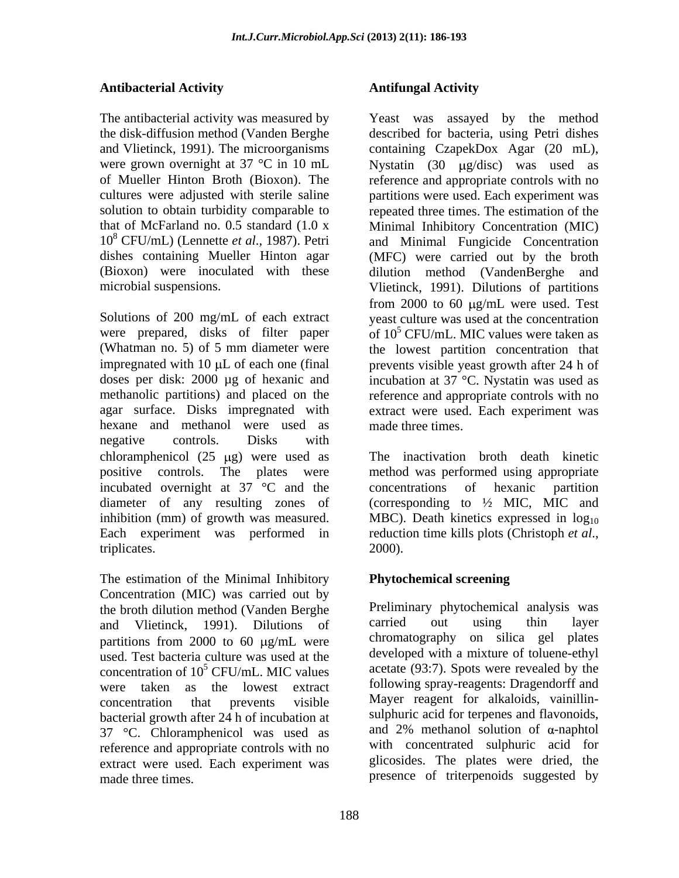## **Antibacterial Activity**

10<sup>8</sup> CFU/mL) (Lennette *et al*., 1987). Petri

hexane and methanol were used as negative controls. Disks with chloramphenicol  $(25 \text{ µg})$  were used as positive controls. The plates were incubated overnight at 37 °C and the concentrations of hexanic partition diameter of any resulting zones of inhibition (mm) of growth was measured. MBC). Death kinetics expressed in  $log_{10}$ Each experiment was performed in reduction time kills plots (Christoph et al., triplicates. 2000).

The estimation of the Minimal Inhibitory Concentration (MIC) was carried out by the broth dilution method (Vanden Berghe Preliminary phytochemical analysis was<br>and Vlietinck 1991) Dilutions of carried out using thin layer and Vlietinck, 1991). Dilutions of partitions from  $2000$  to 60  $\mu$ g/mL were used. Test bacteria culture was used at the concentration of  $10^5$  CFU/mL. MIC values acetate (93:7). Spots were revealed by the were taken as the lowest extract concentration that prevents visible Mayer reagent for alkaloids, vainillin bacterial growth after 24 h of incubation at 37 °C. Chloramphenicol was used as reference and appropriate controls with no extract were used. Each experiment was made three times. presence of triterpenoids suggested by

# **Antifungal Activity**

The antibacterial activity was measured by Yeast was assayed by the method the disk-diffusion method (Vanden Berghe described for bacteria, using Petri dishes and Vlietinck, 1991). The microorganisms containing CzapekDox Agar (20 mL), were grown overnight at 37 °C in 10 mL Nystatin (30  $\mu$ g/disc) was used as of Mueller Hinton Broth (Bioxon). The reference and appropriate controls with no cultures were adjusted with sterile saline partitions were used. Each experiment was solution to obtain turbidity comparable to repeated three times. The estimation of the that of McFarland no. 0.5 standard (1.0 x Minimal Inhibitory Concentration (MIC) dishes containing Mueller Hinton agar (MFC) were carried out by the broth (Bioxon) were inoculated with these dilution method (VandenBerghe and microbial suspensions. Vlietinck, 1991). Dilutions of partitions Solutions of 200 mg/mL of each extract yeast culture was used at the concentration were prepared, disks of filter paper of  $10^5$  CFU/mL. MIC values were taken as (Whatman no. 5) of 5 mm diameter were the lowest partition concentration that impregnated with  $10 \mu L$  of each one (final prevents visible yeast growth after  $24$  h of doses per disk: 2000  $\mu$ g of hexanic and incubation at 37 °C. Nystatin was used as methanolic partitions) and placed on the reference and appropriate controls with no agar surface. Disks impregnated with extract were used. Each experiment was and Minimal Fungicide Concentration from 2000 to 60  $\mu$ g/mL were used. Test made three times.

> The inactivation broth death kinetic method was performed using appropriate concentrations of hexanic (corresponding to  $\frac{1}{2}$  MIC, MIC and reduction time kills plots (Christoph *et al*., 2000).

# **Phytochemical screening**

Preliminary phytochemical analysis was carried out using thin layer chromatography on silica gel plates developed with a mixture of toluene-ethyl acetate (93:7). Spots were revealed by the following spray-reagents: Dragendorff and sulphuric acid for terpenes and flavonoids, and 2% methanol solution of  $\alpha$ -naphtol with concentrated sulphuric acid for glicosides. The plates were dried, the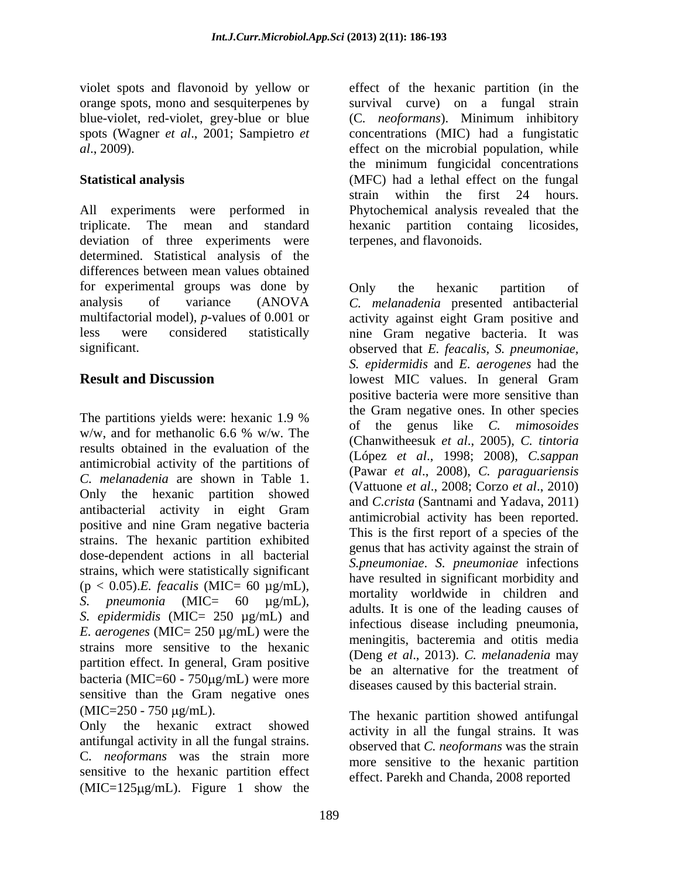orange spots, mono and sesquiterpenes by survival curve) on a fungal strain blue-violet, red-violet, grey-blue or blue (C. *neoformans*). Minimum inhibitory

All experiments were performed in Phytochemical analysis revealed that the triplicate. The mean and standard hexanic partition containg licosides, deviation of three experiments were determined. Statistical analysis of the differences between mean values obtained for experimental groups was done by only the hexanic partition of analysis of variance (ANOVA *C. melanadenia* presented antibacterial multifactorial model), *p*-values of 0.001 or activity against eight Gram positive and less were considered statistically nine Gram negative bacteria. It was significant.

The partitions yields were: hexanic  $1.9\%$  and  $1.9\%$  are  $\frac{1}{2}$  for the conventions  $\frac{1}{2}$  for  $\frac{1}{2}$  for  $\frac{1}{2}$  for  $\frac{1}{2}$  for  $\frac{1}{2}$  for  $\frac{1}{2}$  for  $\frac{1}{2}$  for  $\frac{1}{2}$  for  $\frac{1}{2}$  for  $\frac{1$ w/w, and for methanolic 6.6 % w/w. The  $\frac{60 \text{ m}}{(\text{Chanwithecylt} \text{ at } a^4, 2005)}$  C tinterial results obtained in the evaluation of the antimicrobial activity of the partitions of *C. melanadenia* are shown in Table 1. Only the hexanic partition showed antibacterial activity in eight Gram positive and nine Gram negative bacteria strains. The hexanic partition exhibited dose-dependent actions in all bacterial strains, which were statistically significant  $(p < 0.05)$ .*E. feacalis* (MIC= 60  $\mu$ g/mL), *S. pneumonia* (MIC= 60 μg/mL), initially worldwide in eindrein and solution of the leading causes of sepidermidis (MIC= 250 μg/mL) and infectious disease including provincing *E. aerogenes* (MIC= 250 µg/mL) were the strains more sensitive to the hexanic partition effect. In general, Gram positive bacteria (MIC= $60 - 750 \mu\text{g/mL}$ ) were more<br>diseases caused by this bacterial strain. sensitive than the Gram negative ones  $(MIC = 250 - 750 \mu g/mL)$ . The hexanic partition showed antifungal

Only the hexanic extract showed activity in all the fungal strains. It was antifungal activity in all the fungal strains. C*. neoformans* was the strain more sensitive to the hexanic partition effect  $(MIC=125 \mu g/mL)$ . Figure 1 show the

violet spots and flavonoid by yellow or effect of the hexanic partition (in the  $(C.$  *neoformans*). Minimum inhibitory spots (Wagner *et al*., 2001; Sampietro *et*  concentrations (MIC) had a fungistatic *al*., 2009). effect on the microbial population*,* while **Statistical analysis** (MFC) had a lethal effect on the fungal survival curve) on <sup>a</sup> fungal strain (C*. neoformans*). Minimum inhibitory the minimum fungicidal concentrations strain within the first 24 hours. terpenes, and flavonoids.

**Result and Discussion Constant IDE SET UP:** lowest MIC values. In general Gram Only the hexanic partition of *C. melanadenia* presented antibacterial observed that *E. feacalis, S. pneumoniae, S. epidermidis* and *E. aerogenes* had the lowest MIC values. In general Gram positive bacteria were more sensitive than the Gram negative ones. In other species of the genus like *C. mimosoides* (Chanwitheesuk *et al*., 2005),*C. tintoria* (López *et al*., 1998; 2008), *C.sappan* (Pawar *et al*., 2008), *C. paraguariensis* (Vattuone *et al*., 2008; Corzo *et al*., 2010) and *C.crista* (Santnami and Yadava, 2011) antimicrobial activity has been reported. This is the first report of a species of the genus that has activity against the strain of *S.pneumoniae*. *S. pneumoniae* infections have resulted in significant morbidity and mortality worldwide in children and adults. It is one of the leading causes of infectious disease including pneumonia, meningitis, bacteremia and otitis media (Deng *et al*., 2013). *C. melanadenia* may be an alternative for the treatment of

diseases caused by this bacterial strain. The hexanic partition showed antifungal observed that *C. neoformans* was the strain more sensitive to the hexanic partition effect. Parekh and Chanda, 2008 reported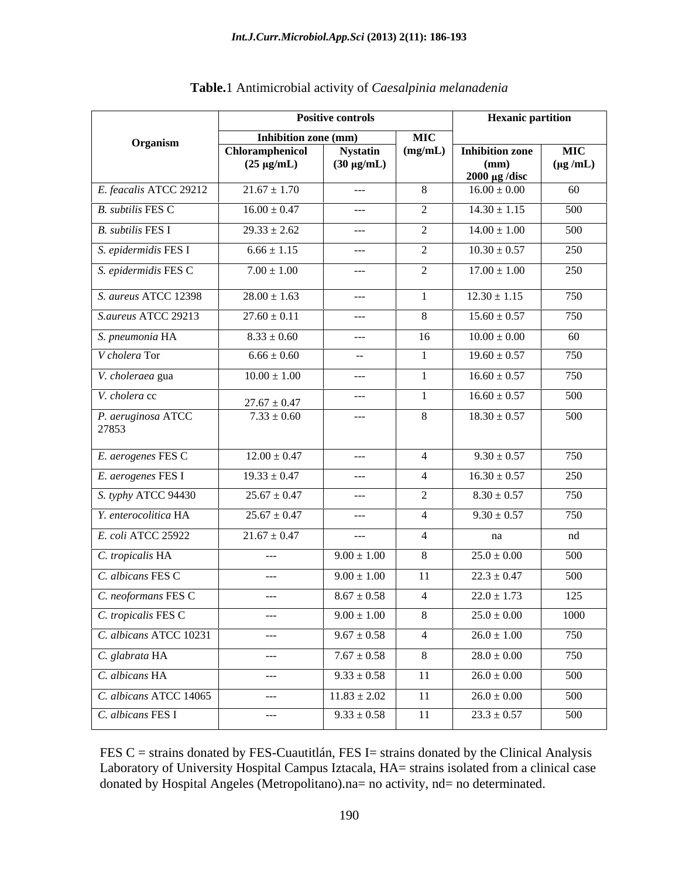|                             | <b>Positive controls</b>           |                                      |            | <b>Hexanic partition</b>               |                              |
|-----------------------------|------------------------------------|--------------------------------------|------------|----------------------------------------|------------------------------|
| Organism                    | Inhibition zone (mm)               |                                      | <b>MIC</b> |                                        |                              |
|                             | Chloramphenicol<br>$(25 \mu g/mL)$ | <b>Nystatin</b><br>$(30 \ \mu g/mL)$ | $\log/mL$  | Inhibition zone<br>(mm)                | <b>MIC</b><br>$(\mu g / mL)$ |
| E. feacalis ATCC 29212      | $21.67 \pm 1.70$                   | $\sim$ $\sim$ $\sim$                 | - 8        | $2000 \mu g$ /disc<br>$16.00 \pm 0.00$ | 60                           |
| B. subtilis FES C           | $16.00 \pm 0.47$                   | $---$                                |            | $14.30 \pm 1.15$                       | 500                          |
| B. subtilis FES I           | $29.33 \pm 2.62$                   | $---$                                | $\gamma$   | $14.00 \pm 1.00$                       | 500                          |
| S. epidermidis FES I        | $6.66 \pm 1.15$                    | $\sim$ $\sim$ $\sim$                 |            | $10.30 \pm 0.57$                       | 250                          |
| S. epidermidis FES C        | $7.00 \pm 1.00$                    | $- - -$                              |            | $17.00 \pm 1.00$                       | 250                          |
|                             |                                    |                                      |            |                                        |                              |
| S. aureus ATCC 12398        | $28.00 \pm 1.63$                   | $\sim$ $\sim$ $\sim$                 |            | $12.30 \pm 1.15$                       | 750                          |
| S.aureus ATCC 29213         | $27.60 \pm 0.11$                   | $---$                                |            | $15.60 \pm 0.57$                       | 750                          |
| S. pneumonia HA             | $8.33 \pm 0.60$                    | $---$                                | -16        | $10.00 \pm 0.00$                       | 60                           |
| V cholera Tor               | $6.66 \pm 0.60$                    | $\sim$ $  \sim$                      |            | $19.60 \pm 0.57$                       | 750                          |
| V. choleraea gua            | $10.00 \pm 1.00$                   | $\sim$ $\sim$ $\sim$                 |            | $16.60 \pm 0.57$                       | 750                          |
| V. cholera cc               | $27.67 \pm 0.47$                   | $- - -$                              |            | $16.60 \pm 0.57$                       | 500                          |
| P. aeruginosa ATCC<br>27853 | $7.33 \pm 0.60$                    | $---$                                |            | $18.30 \pm 0.57$                       | 500                          |
| E. aerogenes FES C          | $12.00 \pm 0.47$                   | $- - -$                              |            | $9.30 \pm 0.57$                        | 750                          |
| E. aerogenes FES I          | $19.33 \pm 0.47$                   | $---$                                |            | $16.30 \pm 0.57$                       | 250                          |
| S. typhy ATCC 94430         | $25.67 \pm 0.47$                   | $\sim$ $\sim$ $\sim$                 |            | $8.30 \pm 0.57$                        | 750                          |
| Y. enterocolitica HA        | $25.67 \pm 0.47$                   | $\sim$ $\sim$ $\sim$                 |            | $9.30 \pm 0.57$                        | 750                          |
| E. coli ATCC 25922          | $21.67 \pm 0.47$                   | $\sim$ $\sim$ $\sim$                 | 4          | na                                     | nd                           |
| C. tropicalis HA            | $- - -$                            | $9.00 \pm 1.00$                      |            | $25.0 \pm 0.00$                        | 500                          |
| C. albicans FES C           | $---$                              | $9.00 \pm 1.00$                      |            | $22.3 \pm 0.47$                        | 500                          |
| C. neoformans FES C         | $\sim$ $\sim$ $\sim$               | $8.67 \pm 0.58$                      |            | $22.0 \pm 1.73$                        | 125                          |
| C. tropicalis FES C         | $---$                              | $9.00 \pm 1.00$                      |            | $25.0 \pm 0.00$                        | 1000                         |
| C. albicans ATCC 10231      | $- - -$                            | $9.67 \pm 0.58$                      |            | $26.0 \pm 1.00$                        | 750                          |
| C. glabrata HA              | $- - -$                            | $7.67 \pm 0.58$                      |            | $28.0 \pm 0.00$                        | 750                          |
| C. albicans HA              | $---$                              | $9.33 \pm 0.58$                      | -11        | $26.0 \pm 0.00$                        | 500                          |
| C. albicans ATCC 14065      | $\sim$ - $\sim$                    | $11.83 \pm 2.02$                     |            | $26.0 \pm 0.00$                        | 500                          |
| C. albicans FES I           |                                    | $9.33 \pm 0.58$                      |            | $23.3 \pm 0.57$                        | 500                          |

| Table.1 At<br>Antimicrobial activity of Caesalpinia melanadenia |  |
|-----------------------------------------------------------------|--|
|                                                                 |  |

FES C = strains donated by FES-Cuautitlán, FES I = strains donated by the Clinical Analysis Laboratory of University Hospital Campus Iztacala, HA= strains isolated from a clinical case donated by Hospital Angeles (Metropolitano).na= no activity, nd= no determinated.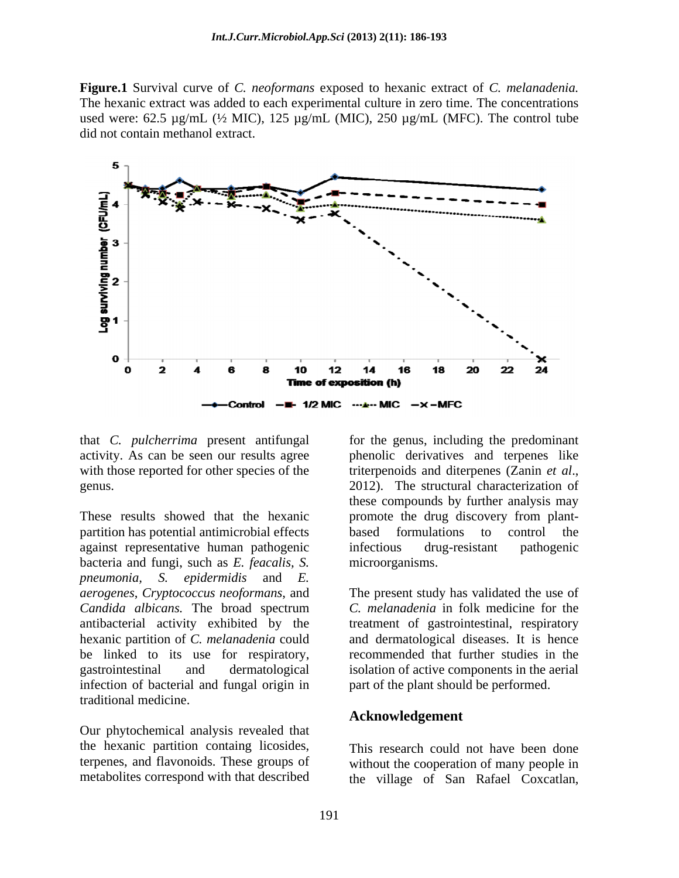**Figure.1** Survival curve of *C. neoformans* exposed to hexanic extract of *C. melanadenia.* The hexanic extract was added to each experimental culture in zero time. The concentrations used were:  $62.5 \mu g/mL$  ( $\frac{1}{2}$  MIC),  $125 \mu g/mL$  (MIC),  $250 \mu g/mL$  (MFC). The control tube did not contain methanol extract.



partition has potential antimicrobial effects based formulations to control the against representative human pathogenic bacteria and fungi, such as *E. feacalis, S. pneumonia, S. epidermidis* and *E. aerogenes*, *Cryptococcus neoformans*, and The present study has validated the use of *Candida albicans.* The broad spectrum hexanic partition of *C. melanadenia* could be linked to its use for respiratory, infection of bacterial and fungal origin in traditional medicine.

Our phytochemical analysis revealed that the hexanic partition containg licosides, This research could not have been done terpenes, and flavonoids. These groups of

that *C. pulcherrima* present antifungal for the genus, including the predominant activity. As can be seen our results agree bhenolic derivatives and terpenes like with those reported for other species of the triterpenoids and diterpenes (Zanin *et al.*, genus. 2012). The structural characterization of These results showed that the hexanic promote the drug discovery from plant triterpenoids and diterpenes (Zanin *et al*., 2012). The structural characterization of these compounds by further analysis may based formulations to control the infectious drug-resistant pathogenic microorganisms.

antibacterial activity exhibited by the treatment of gastrointestinal, respiratory gastrointestinal and dermatological isolation of active components in the aerial *C. melanadenia* in folk medicine for the and dermatological diseases. It is hence recommended that further studies in the part of the plant should be performed.

### **Acknowledgement**

metabolites correspond with that described the village of San Rafael Coxcatlan,without the cooperation of many people in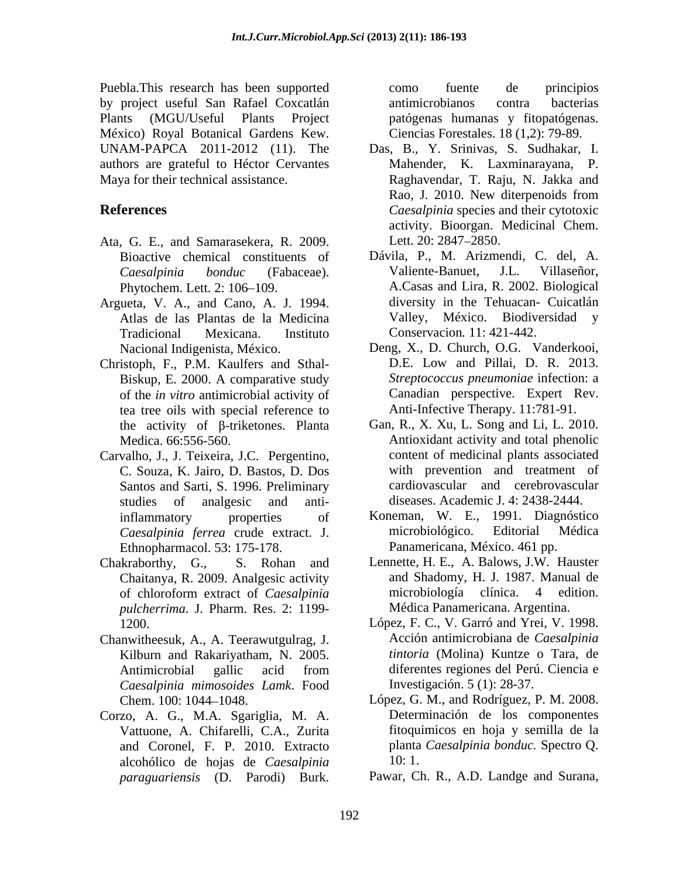Puebla.This research has been supported by project useful San Rafael Coxcatlán Plants (MGU/Useful Plants Project patógenas humanas y fitopatógenas. México) Royal Botanical Gardens Kew. UNAM-PAPCA 2011-2012 (11). The authors are grateful to Héctor Cervantes

- Ata, G. E., and Samarasekera, R. 2009.
- Argueta, V. A., and Cano, A. J. 1994.
- Christoph, F., P.M. Kaulfers and Sthal- Biskup, E. 2000. A comparative study tea tree oils with special reference to the activity of  $\beta$ -triketones. Planta
- Santos and Sarti, S. 1996. Preliminary studies of analgesic and anti-<br>diseases. Academic J. 4: 2438-2444.
- Chaitanya, R. 2009. Analgesic activity *pulcherrima*. J. Pharm. Res. 2: 1199-
- Chanwitheesuk, A., A. Teerawutgulrag, J. Kilburn and Rakariyatham, N. 2005. *Caesalpinia mimosoides Lamk*. Food
- Corzo, A. G., M.A. Sgariglia, M. A. Vattuone, A. Chifarelli, C.A., Zurita alcohólico de hojas de *Caesalpinia paraguariensis* (D. Parodi) Burk.

como fuente de principios antimicrobianos contra bacterias Ciencias Forestales. 18 (1,2): 79-89.

- Maya for their technical assistance. Raghavendar, T. Raju, N. Jakka and **References** *Caesalpinia* species and their cytotoxic Das, B., Y. Srinivas, S. Sudhakar, I. Mahender, K. Laxminarayana, P. Rao, J. 2010. New diterpenoids from activity. Bioorgan. Medicinal Chem. Lett. 20: 2847–2850.
	- Bioactive chemical constituents of Dávila, P., M. Arizmendi, C. del, A. *Caesalpinia bonduc* (Fabaceae). Phytochem. Lett. 2: 106–109. A.Casas and Lira, R. 2002. Biological Atlas de las Plantas de la Medicina Valley, México. Biodiversidad y Tradicional Mexicana. Instituto Valiente-Banuet, J.L. Villaseñor, diversity in the Tehuacan- Cuicatlán Conservacion*.* 11: 421-442.
	- Nacional Indigenista, México. Deng, X., D. Church, O.G. Vanderkooi, of the *in vitro* antimicrobial activity of Canadian perspective. Expert Rev.<br>tea tree oils with special reference to Anti-Infective Therapy. 11:781-91. D.E. Low and Pillai, D. R. 2013. *Streptococcus pneumoniae* infection: a Canadian perspective. Expert Rev. Anti-Infective Therapy. 11:781-91.
- Medica. 66:556-560. Antioxidant activity and total phenolic Carvalho, J., J. Teixeira, J.C. Pergentino, C. Souza, K. Jairo, D. Bastos, D. Dos Gan, R., X. Xu, L. Song and Li, L. 2010. content of medicinal plants associated with prevention and treatment of cardiovascular and cerebrovascular diseases. Academic J. 4: 2438-2444.
	- inflammatory properties of Koneman, W. E., 1991. Diagnóstico *Caesalpinia ferrea* crude extract. J. Ethnopharmacol. 53: 175-178. microbiológico. Editorial Médica Panamericana, México. 461 pp.
- Chakraborthy, G., S. Rohan and Lennette, H. E., A. Balows, J.W. Hauster of chloroform extract of *Caesalpinia* and Shadomy, H. J. 1987. Manual de microbiología clínica. 4 edition. Médica Panamericana. Argentina.
	- 1200. López, F. C., V. Garró and Yrei, V. 1998. Antimicrobial gallic acid from Acción antimicrobiana de *Caesalpinia tintoria* (Molina) Kuntze o Tara, de diferentes regiones del Perú. Ciencia e Investigación. 5 (1): 28-37.
	- Chem. 100: 1044 1048. López, G. M., and Rodríguez, P. M. 2008. and Coronel, F. P. 2010. Extracto planta *Caesalpinia bonduc.* Spectro Q. Determinación de los componentes fitoquimicos en hoja y semilla de la 10: 1.
		- Pawar, Ch. R., A.D. Landge and Surana,